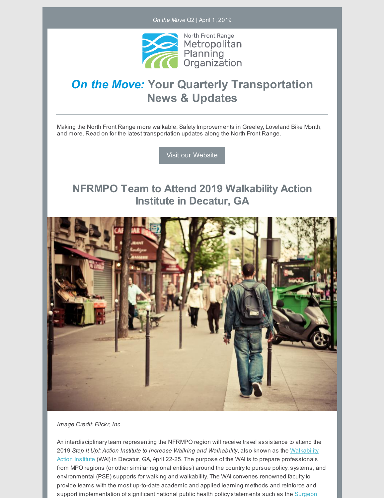*On the Move* Q2 | April 1, 2019



# *On the Move:* **Your Quarterly Transportation News & Updates**

Making the North Front Range more walkable, Safety Improvements in Greeley, Loveland Bike Month, and more. Read on for the latest transportation updates along the North Front Range.

Visit our [Website](https://nfrmpo.org/)

### **NFRMPO Team to Attend 2019 Walkability Action Institute in Decatur, GA**



*Image Credit: Flickr, Inc.*

An interdisciplinaryteam representing the NFRMPO region will receive travel assistance to attend the 2019 *Step It Up!: Action Institute to Increase Walking and Walkability*, also known as the Walkability Action Institute [\(WAI\)](https://www.chronicdisease.org/page/WAI) in Decatur, GA, April 22-25. The purpose of the WAI is to prepare [professionals](https://www.chronicdisease.org/page/WAI) from MPO regions (or other similar regional entities) around the countryto pursue policy, systems, and environmental (PSE) supports for walking and walkability. The WAI convenes renowned facultyto provide teams with the most up-to-date academic and applied learning methods and reinforce and support implementation of significant national public health policy statements such as the Surgeon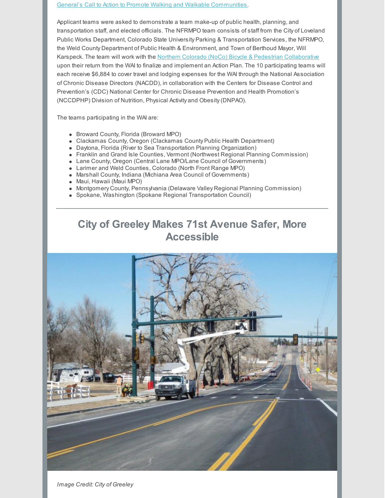General's Call to Action to Promote Walking and Walkable [Communities.](https://www.surgeongeneral.gov/library/calls/walking-and-walkable-communities/index.html)

Applicant teams were asked to demonstrate a team make-up of public health, planning, and transportation staff, and elected officials. The NFRMPO team consists of staff from the City of Loveland Public Works Department, Colorado State University Parking & Transportation Services, the NFRMPO, the Weld County Department of Public Health & Environment, and Town of Berthoud Mayor, Will Karspeck. The team will work with the Northern Colorado (NoCo) Bicycle & Pedestrian [Collaborative](https://nfrmpo.org/bike-ped/noco/) upon their return from the WAI to finalize and implement an Action Plan. The 10 participating teams will each receive \$6,884 to cover travel and lodging expenses for the WAI through the National Association of Chronic Disease Directors (NACDD), in collaboration with the Centers for Disease Control and Prevention's (CDC) National Center for Chronic Disease Prevention and Health Promotion's (NCCDPHP) Division of Nutrition, Physical Activity and Obesity(DNPAO).

The teams participating in the WAI are:

- Broward County, Florida (Broward MPO)
- Clackamas County, Oregon (Clackamas County Public Health Department)
- Daytona, Florida (River to Sea Transportation Planning Organization)
- Franklin and Grand Isle Counties, Vermont (Northwest Regional Planning Commission)
- Lane County, Oregon (Central Lane MPO/Lane Council of Governments)
- Larimer and Weld Counties, Colorado (North Front Range MPO)
- Marshall County, Indiana (Michiana Area Council of Governments)
- Maui, Hawaii (Maui MPO)
- Montgomery County, Pennsylvania (Delaware Valley Regional Planning Commission)
- Spokane, Washington (Spokane Regional Transportation Council)

## **City of Greeley Makes 71st Avenue Safer, More Accessible**



*Image Credit: City of Greeley*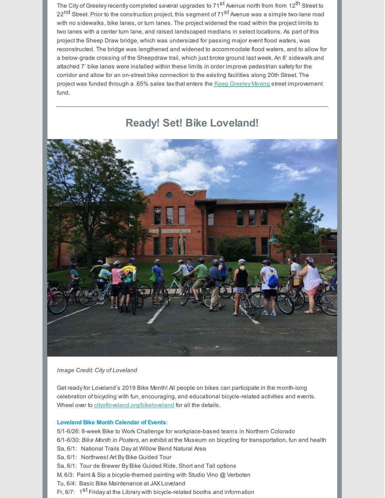The City of Greeley recently completed several upgrades to 71<sup>st</sup> Avenue north from from 12<sup>th</sup> Street to 22<sup>nd</sup> Street. Prior to the construction project, this segment of 71<sup>st</sup> Avenue was a simple two-lane road with no sidewalks, bike lanes, or turn lanes. The project widened the road within the project limits to two lanes with a center turn lane, and raised landscaped medians in select locations. As part of this project the Sheep Draw bridge, which was undersized for passing major event flood waters, was reconstructed. The bridge was lengthened and widened to accommodate flood waters, and to allow for a below-grade crossing of the Sheepdraw trail, which just broke ground last week. An 8' sidewalk and attached 7' bike lanes were installed within these limits in order improve pedestrian safetyfor the corridor and allow for an on-street bike connection to the existing facilities along 20th Street. The project was funded through a .65% sales taxthat enters the Keep [Greeley](https://keepgreeleymoving.com/home/71st-avenue-improvements/) Moving street improvement fund.

### **Ready! Set! Bike Loveland!**



#### *Image Credit: City of Loveland*

Get readyfor Loveland's 2019 Bike Month! All people on bikes can participate in the month-long celebration of bicycling with fun, encouraging, and educational bicycle-related activities and events. Wheel over to [cityofloveland.org/bikeloveland](http://www.cityofloveland.org/departments/public-works/bicycle-pedestrian/bike-to-work-day) for all the details.

#### **Loveland Bike Month Calendar of Events**:

5/1-6/26: 8-week Bike to Work Challenge for workplace-based teams in Northern Colorado 6/1-6/30: *Bike Month in Posters*, an exhibit at the Museum on bicycling for transportation, fun and health Sa, 6/1: National Trails Day at Willow Bend Natural Area Sa, 6/1: Northwest Art By Bike Guided Tour Sa, 6/1: Tour de Brewer By Bike Guided Ride, Short and Tall options M, 6/3: Paint & Sip a bicycle-themed painting with Studio Vino @ Verboten Tu, 6/4: Basic Bike Maintenance at JAX Loveland Fr, 6/7: 1<sup>st</sup> Friday at the Library with bicycle-related booths and information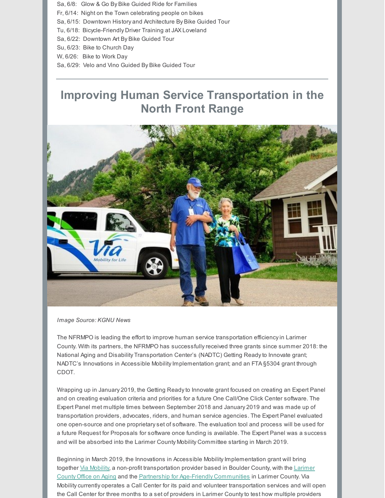Sa, 6/8: Glow & Go By Bike Guided Ride for Families

Fr, 6/14: Night on the Town celebrating people on bikes

Sa, 6/15: Downtown History and Architecture By Bike Guided Tour

Tu, 6/18: Bicycle-Friendly Driver Training at JAX Loveland

Sa, 6/22: Downtown Art By Bike Guided Tour

Su, 6/23: Bike to Church Day

W, 6/26: Bike to Work Day

Sa, 6/29: Velo and Vino Guided By Bike Guided Tour

# **Improving Human Service Transportation in the North Front Range**



*Image Source: KGNU News*

The NFRMPO is leading the effort to improve human service transportation efficiencyin Larimer County. With its partners, the NFRMPO has successfullyreceived three grants since summer 2018: the National Aging and Disability Transportation Center's (NADTC) Getting Readyto Innovate grant; NADTC's Innovations in Accessible Mobility Implementation grant; and an FTA §5304 grant through CDOT.

Wrapping up in January 2019, the Getting Readyto Innovate grant focused on creating an Expert Panel and on creating evaluation criteria and priorities for a future One Call/One Click Center software. The Expert Panel met multiple times between September 2018 and January 2019 and was made up of transportation providers, advocates, riders, and human service agencies. The Expert Panel evaluated one open-source and one proprietaryset of software. The evaluation tool and process will be used for a future Request for Proposals for software once funding is available. The Expert Panel was a success and will be absorbed into the Larimer County Mobility Committee starting in March 2019.

Beginning in March 2019, the Innovations in Accessible Mobility Implementation grant will bring together Via [Mobility](https://viacolorado.org/), a non-profit [transportation](https://www.larimer.org/humanservices/aging/ooa) provider based in Boulder County, with the Larimer County Office on Aging and the Partnership for Age-Friendly [Communities](https://www.pafclarimer.org/) in Larimer County. Via Mobilitycurrently operates a Call Center for its paid and volunteer transportation services and will open the Call Center for three months to a set of providers in Larimer Countyto test how multiple providers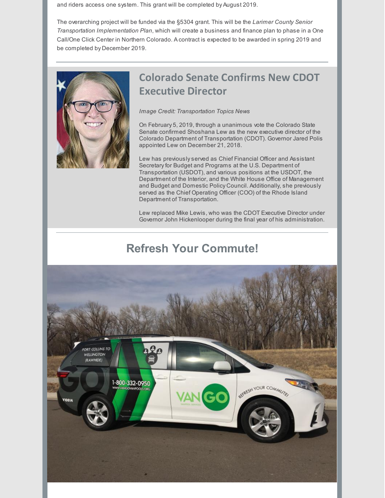and riders access one system. This grant will be completed by August 2019.

The overarching project will be funded via the §5304 grant. This will be the *Larimer County Senior Transportation Implementation Plan*, which will create a business and finance plan to phase in a One Call/One Click Center in Northern Colorado. A contract is expected to be awarded in spring 2019 and be completed by December 2019.

![](_page_4_Picture_2.jpeg)

## **Colorado Senate Confirms New CDOT Executive Director**

#### *Image Credit: Transportation Topics News*

On February 5, 2019, through a unanimous vote the Colorado State Senate confirmed Shoshana Lew as the new executive director of the Colorado Department of Transportation (CDOT). Governor Jared Polis appointed Lew on December 21, 2018.

Lew has previouslyserved as Chief Financial Officer and Assistant Secretary for Budget and Programs at the U.S. Department of Transportation (USDOT), and various positions at the USDOT, the Department of the Interior, and the White House Office of Management and Budget and Domestic Policy Council. Additionally, she previously served as the Chief Operating Officer (COO) of the Rhode Island Department of Transportation.

Lew replaced Mike Lewis, who was the CDOT Executive Director under Governor John Hickenlooper during the final year of his administration.

# **Refresh Your Commute!**

![](_page_4_Picture_9.jpeg)